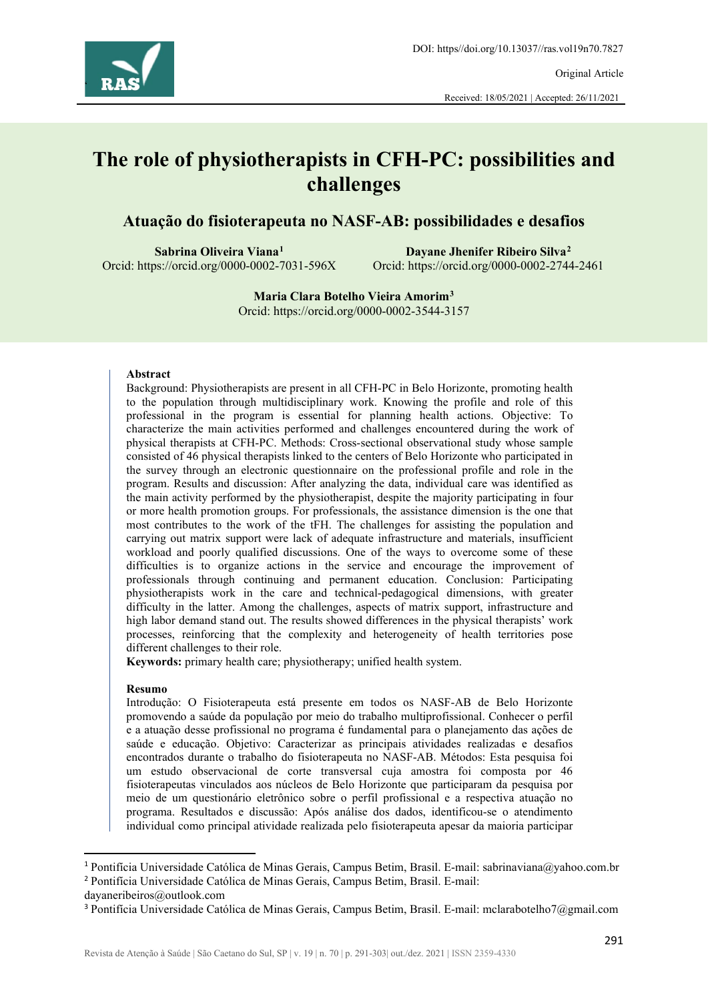

Received: 18/05/2021 | Accepted: 26/11/2021

# **The role of physiotherapists in CFH-PC: possibilities and challenges**

#### **Atuação do fisioterapeuta no NASF-AB: possibilidades e desafios**

**Sabrina Oliveira Viana[1](#page-0-0)** Orcid: https://orcid.org/0000-0002-7031-596X

**Dayane Jhenifer Ribeiro Silva[2](#page-0-1)** Orcid: https://orcid.org/0000-0002-2744-2461

**Maria Clara Botelho Vieira Amorim[3](#page-0-2)** Orcid: https://orcid.org/0000-0002-3544-3157

#### **Abstract**

Background: Physiotherapists are present in all CFH-PC in Belo Horizonte, promoting health to the population through multidisciplinary work. Knowing the profile and role of this professional in the program is essential for planning health actions. Objective: To characterize the main activities performed and challenges encountered during the work of physical therapists at CFH-PC. Methods: Cross-sectional observational study whose sample consisted of 46 physical therapists linked to the centers of Belo Horizonte who participated in the survey through an electronic questionnaire on the professional profile and role in the program. Results and discussion: After analyzing the data, individual care was identified as the main activity performed by the physiotherapist, despite the majority participating in four or more health promotion groups. For professionals, the assistance dimension is the one that most contributes to the work of the tFH. The challenges for assisting the population and carrying out matrix support were lack of adequate infrastructure and materials, insufficient workload and poorly qualified discussions. One of the ways to overcome some of these difficulties is to organize actions in the service and encourage the improvement of professionals through continuing and permanent education. Conclusion: Participating physiotherapists work in the care and technical-pedagogical dimensions, with greater difficulty in the latter. Among the challenges, aspects of matrix support, infrastructure and high labor demand stand out. The results showed differences in the physical therapists' work processes, reinforcing that the complexity and heterogeneity of health territories pose different challenges to their role.

**Keywords:** primary health care; physiotherapy; unified health system.

#### **Resumo**

Introdução: O Fisioterapeuta está presente em todos os NASF-AB de Belo Horizonte promovendo a saúde da população por meio do trabalho multiprofissional. Conhecer o perfil e a atuação desse profissional no programa é fundamental para o planejamento das ações de saúde e educação. Objetivo: Caracterizar as principais atividades realizadas e desafios encontrados durante o trabalho do fisioterapeuta no NASF-AB. Métodos: Esta pesquisa foi um estudo observacional de corte transversal cuja amostra foi composta por 46 fisioterapeutas vinculados aos núcleos de Belo Horizonte que participaram da pesquisa por meio de um questionário eletrônico sobre o perfil profissional e a respectiva atuação no programa. Resultados e discussão: Após análise dos dados, identificou-se o atendimento individual como principal atividade realizada pelo fisioterapeuta apesar da maioria participar

<span id="page-0-1"></span><span id="page-0-0"></span><sup>1</sup> Pontifícia Universidade Católica de Minas Gerais, Campus Betim, Brasil. E-mail: sabrinaviana@yahoo.com.br <sup>2</sup> Pontifícia Universidade Católica de Minas Gerais, Campus Betim, Brasil. E-mail:

dayaneribeiros@outlook.com

<span id="page-0-2"></span><sup>3</sup> Pontifícia Universidade Católica de Minas Gerais, Campus Betim, Brasil. E-mail: mclarabotelho7@gmail.com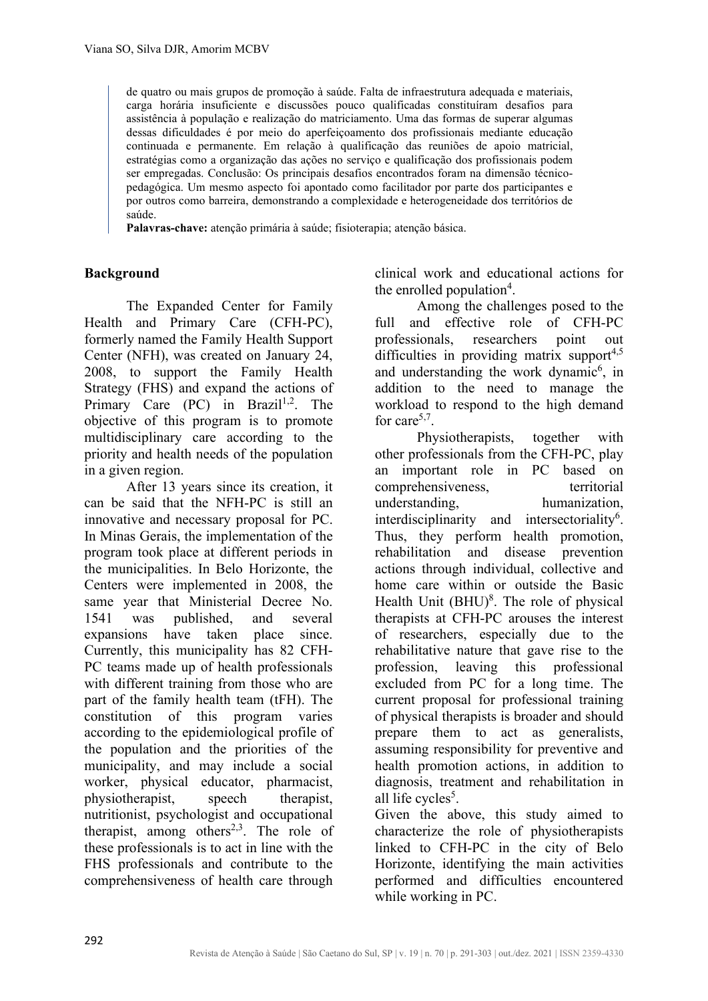de quatro ou mais grupos de promoção à saúde. Falta de infraestrutura adequada e materiais, carga horária insuficiente e discussões pouco qualificadas constituíram desafios para assistência à população e realização do matriciamento. Uma das formas de superar algumas dessas dificuldades é por meio do aperfeiçoamento dos profissionais mediante educação continuada e permanente. Em relação à qualificação das reuniões de apoio matricial, estratégias como a organização das ações no serviço e qualificação dos profissionais podem ser empregadas. Conclusão: Os principais desafios encontrados foram na dimensão técnicopedagógica. Um mesmo aspecto foi apontado como facilitador por parte dos participantes e por outros como barreira, demonstrando a complexidade e heterogeneidade dos territórios de saúde.

**Palavras-chave:** atenção primária à saúde; fisioterapia; atenção básica.

#### **Background**

 The Expanded Center for Family Health and Primary Care (CFH-PC), formerly named the Family Health Support Center (NFH), was created on January 24, 2008, to support the Family Health Strategy (FHS) and expand the actions of Primary Care (PC) in Brazil<sup>1,2</sup>. The objective of this program is to promote multidisciplinary care according to the priority and health needs of the population in a given region.

 After 13 years since its creation, it can be said that the NFH-PC is still an innovative and necessary proposal for PC. In Minas Gerais, the implementation of the program took place at different periods in the municipalities. In Belo Horizonte, the Centers were implemented in 2008, the same year that Ministerial Decree No. 1541 was published, and several expansions have taken place since. Currently, this municipality has 82 CFH-PC teams made up of health professionals with different training from those who are part of the family health team (tFH). The constitution of this program varies according to the epidemiological profile of the population and the priorities of the municipality, and may include a social worker, physical educator, pharmacist, physiotherapist, speech therapist, nutritionist, psychologist and occupational therapist, among others<sup>2,3</sup>. The role of these professionals is to act in line with the FHS professionals and contribute to the comprehensiveness of health care through

clinical work and educational actions for the enrolled population<sup>4</sup>.

Among the challenges posed to the full and effective role of CFH-PC professionals, researchers point out difficulties in providing matrix support<sup>4,5</sup> and understanding the work dynamic<sup>6</sup>, in addition to the need to manage the workload to respond to the high demand for care<sup>5,7</sup>.

Physiotherapists, together with other professionals from the CFH-PC, play an important role in PC based on comprehensiveness, territorial understanding, humanization, interdisciplinarity and intersectoriality<sup>6</sup>. Thus, they perform health promotion, rehabilitation and disease prevention actions through individual, collective and home care within or outside the Basic Health Unit  $(BHU)^8$ . The role of physical therapists at CFH-PC arouses the interest of researchers, especially due to the rehabilitative nature that gave rise to the profession, leaving this professional excluded from PC for a long time. The current proposal for professional training of physical therapists is broader and should prepare them to act as generalists, assuming responsibility for preventive and health promotion actions, in addition to diagnosis, treatment and rehabilitation in all life cycles<sup>5</sup>.

Given the above, this study aimed to characterize the role of physiotherapists linked to CFH-PC in the city of Belo Horizonte, identifying the main activities performed and difficulties encountered while working in PC.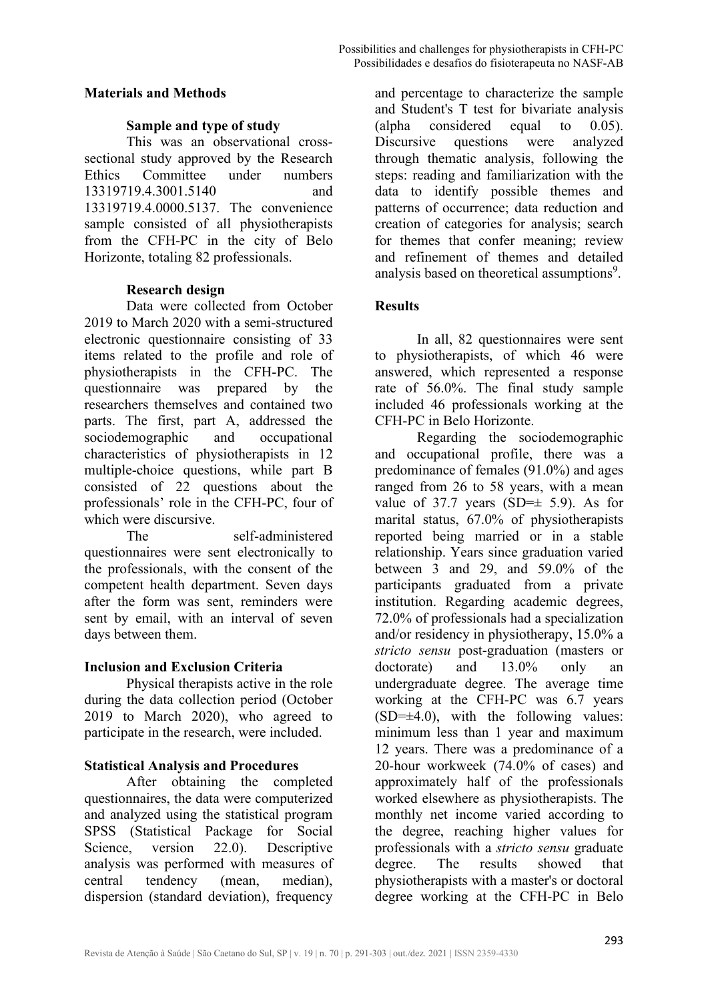#### **Materials and Methods**

#### **Sample and type of study**

This was an observational crosssectional study approved by the Research Ethics Committee under numbers 13319719.4.3001.5140 and 13319719.4.0000.5137. The convenience sample consisted of all physiotherapists from the CFH-PC in the city of Belo Horizonte, totaling 82 professionals.

#### **Research design**

Data were collected from October 2019 to March 2020 with a semi-structured electronic questionnaire consisting of 33 items related to the profile and role of physiotherapists in the CFH-PC. The questionnaire was prepared by the researchers themselves and contained two parts. The first, part A, addressed the sociodemographic and occupational characteristics of physiotherapists in 12 multiple-choice questions, while part B consisted of 22 questions about the professionals' role in the CFH-PC, four of which were discursive.

The self-administered questionnaires were sent electronically to the professionals, with the consent of the competent health department. Seven days after the form was sent, reminders were sent by email, with an interval of seven days between them.

#### **Inclusion and Exclusion Criteria**

Physical therapists active in the role during the data collection period (October 2019 to March 2020), who agreed to participate in the research, were included.

#### **Statistical Analysis and Procedures**

After obtaining the completed questionnaires, the data were computerized and analyzed using the statistical program SPSS (Statistical Package for Social Science, version 22.0). Descriptive analysis was performed with measures of central tendency (mean, median), dispersion (standard deviation), frequency

and percentage to characterize the sample and Student's T test for bivariate analysis (alpha considered equal to 0.05). Discursive questions were analyzed through thematic analysis, following the steps: reading and familiarization with the data to identify possible themes and patterns of occurrence; data reduction and creation of categories for analysis; search for themes that confer meaning; review and refinement of themes and detailed analysis based on theoretical assumptions<sup>9</sup>.

## **Results**

In all, 82 questionnaires were sent to physiotherapists, of which 46 were answered, which represented a response rate of 56.0%. The final study sample included 46 professionals working at the CFH-PC in Belo Horizonte.

Regarding the sociodemographic and occupational profile, there was a predominance of females (91.0%) and ages ranged from 26 to 58 years, with a mean value of 37.7 years  $(SD=\pm 5.9)$ . As for marital status, 67.0% of physiotherapists reported being married or in a stable relationship. Years since graduation varied between 3 and 29, and 59.0% of the participants graduated from a private institution. Regarding academic degrees, 72.0% of professionals had a specialization and/or residency in physiotherapy, 15.0% a *stricto sensu* post-graduation (masters or doctorate) and 13.0% only an undergraduate degree. The average time working at the CFH-PC was 6.7 years  $(SD=\pm 4.0)$ , with the following values: minimum less than 1 year and maximum 12 years. There was a predominance of a 20-hour workweek (74.0% of cases) and approximately half of the professionals worked elsewhere as physiotherapists. The monthly net income varied according to the degree, reaching higher values for professionals with a *stricto sensu* graduate degree. The results showed that physiotherapists with a master's or doctoral degree working at the CFH-PC in Belo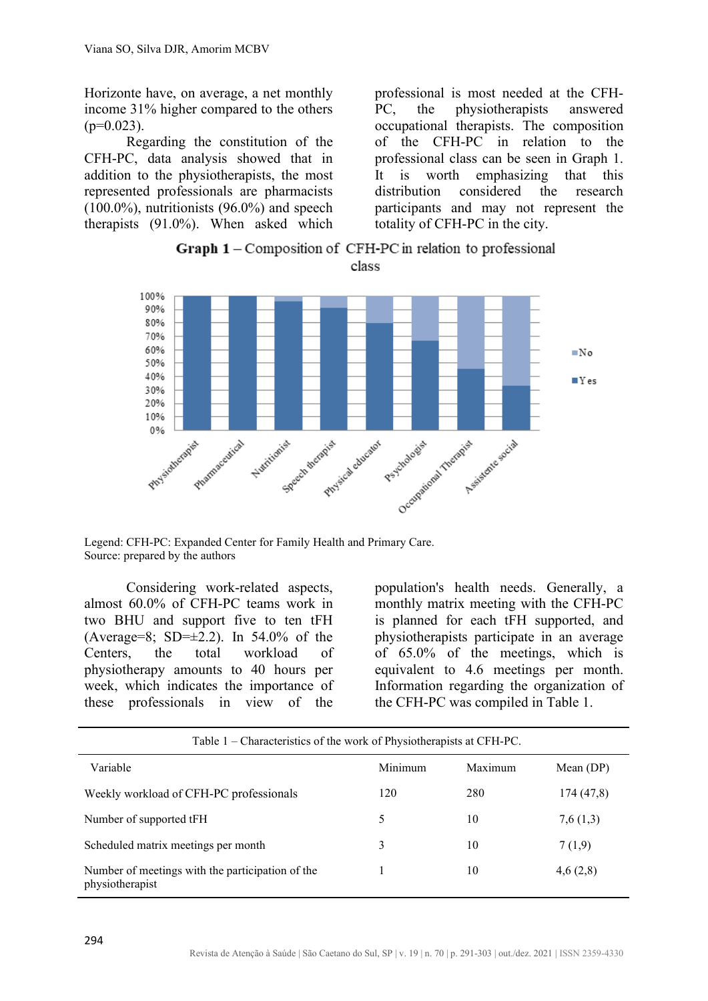Horizonte have, on average, a net monthly income 31% higher compared to the others  $(p=0.023)$ .

Regarding the constitution of the CFH-PC, data analysis showed that in addition to the physiotherapists, the most represented professionals are pharmacists  $(100.0\%)$ , nutritionists  $(96.0\%)$  and speech therapists (91.0%). When asked which

professional is most needed at the CFH-PC, the physiotherapists answered occupational therapists. The composition of the CFH-PC in relation to the professional class can be seen in Graph 1. It is worth emphasizing that this distribution considered the research participants and may not represent the totality of CFH-PC in the city.





Legend: CFH-PC: Expanded Center for Family Health and Primary Care. Source: prepared by the authors

Considering work-related aspects, almost 60.0% of CFH-PC teams work in two BHU and support five to ten tFH (Average=8; SD= $\pm$ 2.2). In 54.0% of the Centers, the total workload of physiotherapy amounts to 40 hours per week, which indicates the importance of these professionals in view of the population's health needs. Generally, a monthly matrix meeting with the CFH-PC is planned for each tFH supported, and physiotherapists participate in an average of 65.0% of the meetings, which is equivalent to 4.6 meetings per month. Information regarding the organization of the CFH-PC was compiled in Table 1.

| Table 1 – Characteristics of the work of Physiotherapists at CFH-PC. |         |         |             |
|----------------------------------------------------------------------|---------|---------|-------------|
| Variable                                                             | Minimum | Maximum | Mean $(DP)$ |
| Weekly workload of CFH-PC professionals                              | 120     | 280     | 174 (47,8)  |
| Number of supported tFH                                              | 5       | 10      | 7,6(1,3)    |
| Scheduled matrix meetings per month                                  | 3       | 10      | 7(1,9)      |
| Number of meetings with the participation of the<br>physiotherapist  |         | 10      | 4,6(2,8)    |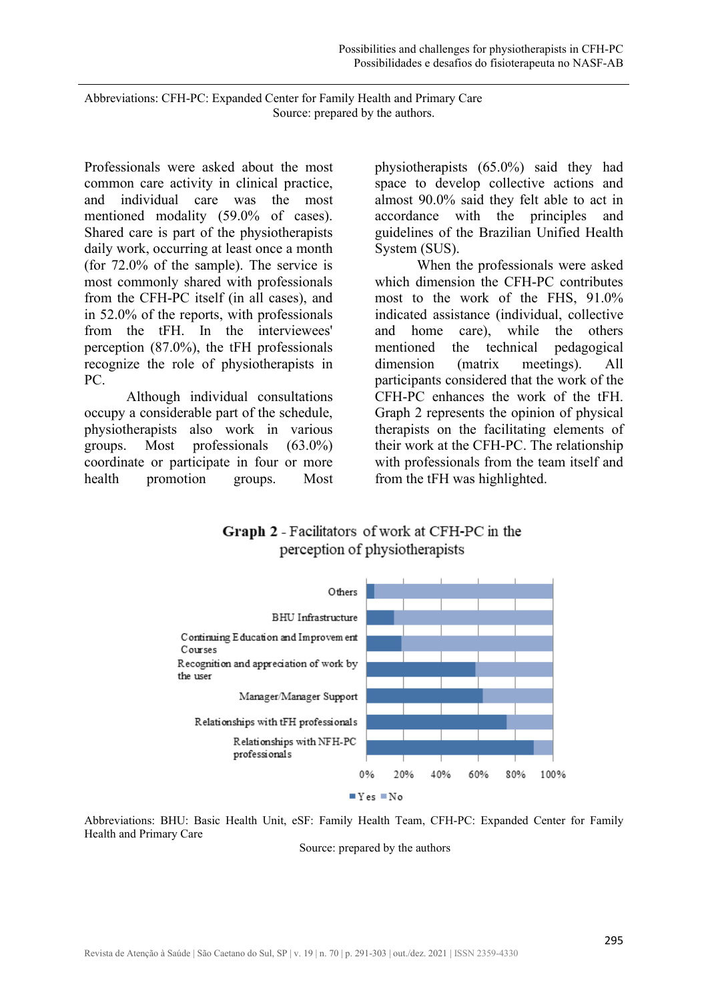Abbreviations: CFH-PC: Expanded Center for Family Health and Primary Care Source: prepared by the authors.

Professionals were asked about the most common care activity in clinical practice, and individual care was the most mentioned modality (59.0% of cases). Shared care is part of the physiotherapists daily work, occurring at least once a month (for 72.0% of the sample). The service is most commonly shared with professionals from the CFH-PC itself (in all cases), and in 52.0% of the reports, with professionals from the tFH. In the interviewees' perception (87.0%), the tFH professionals recognize the role of physiotherapists in PC.

Although individual consultations occupy a considerable part of the schedule, physiotherapists also work in various groups. Most professionals (63.0%) coordinate or participate in four or more health promotion groups. Most physiotherapists (65.0%) said they had space to develop collective actions and almost 90.0% said they felt able to act in accordance with the principles and guidelines of the Brazilian Unified Health System (SUS).

When the professionals were asked which dimension the CFH-PC contributes most to the work of the FHS, 91.0% indicated assistance (individual, collective and home care), while the others mentioned the technical pedagogical dimension (matrix meetings). All participants considered that the work of the CFH-PC enhances the work of the tFH. Graph 2 represents the opinion of physical therapists on the facilitating elements of their work at the CFH-PC. The relationship with professionals from the team itself and from the tFH was highlighted.

Graph 2 - Facilitators of work at CFH-PC in the perception of physiotherapists



Abbreviations: BHU: Basic Health Unit, eSF: Family Health Team, CFH-PC: Expanded Center for Family Health and Primary Care

Source: prepared by the authors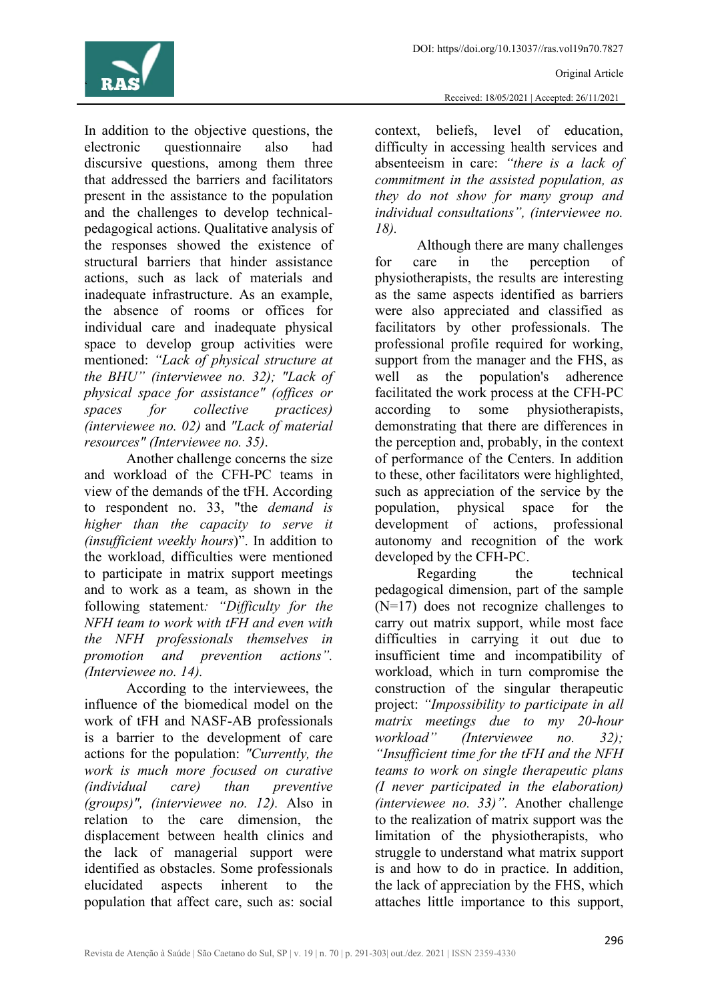

In addition to the objective questions, the electronic questionnaire also had discursive questions, among them three that addressed the barriers and facilitators present in the assistance to the population and the challenges to develop technicalpedagogical actions. Qualitative analysis of the responses showed the existence of structural barriers that hinder assistance actions, such as lack of materials and inadequate infrastructure. As an example, the absence of rooms or offices for individual care and inadequate physical space to develop group activities were mentioned: *"Lack of physical structure at the BHU" (interviewee no. 32); "Lack of physical space for assistance" (offices or spaces for collective practices) (interviewee no. 02)* and *"Lack of material resources" (Interviewee no. 35)*.

Another challenge concerns the size and workload of the CFH-PC teams in view of the demands of the tFH. According to respondent no. 33, "the *demand is higher than the capacity to serve it (insufficient weekly hours*)". In addition to the workload, difficulties were mentioned to participate in matrix support meetings and to work as a team, as shown in the following statement*: "Difficulty for the NFH team to work with tFH and even with the NFH professionals themselves in promotion and prevention actions". (Interviewee no. 14).*

According to the interviewees, the influence of the biomedical model on the work of tFH and NASF-AB professionals is a barrier to the development of care actions for the population: *"Currently, the work is much more focused on curative (individual care) than preventive (groups)", (interviewee no. 12).* Also in relation to the care dimension, the displacement between health clinics and the lack of managerial support were identified as obstacles. Some professionals elucidated aspects inherent to the population that affect care, such as: social

context, beliefs, level of education, difficulty in accessing health services and absenteeism in care: *"there is a lack of commitment in the assisted population, as they do not show for many group and individual consultations", (interviewee no. 18).*

Although there are many challenges for care in the perception of physiotherapists, the results are interesting as the same aspects identified as barriers were also appreciated and classified as facilitators by other professionals. The professional profile required for working, support from the manager and the FHS, as well as the population's adherence facilitated the work process at the CFH-PC according to some physiotherapists, demonstrating that there are differences in the perception and, probably, in the context of performance of the Centers. In addition to these, other facilitators were highlighted, such as appreciation of the service by the population, physical space for the development of actions, professional autonomy and recognition of the work developed by the CFH-PC.

Regarding the technical pedagogical dimension, part of the sample (N=17) does not recognize challenges to carry out matrix support, while most face difficulties in carrying it out due to insufficient time and incompatibility of workload, which in turn compromise the construction of the singular therapeutic project: *"Impossibility to participate in all matrix meetings due to my 20-hour workload" (Interviewee no. 32); "Insufficient time for the tFH and the NFH teams to work on single therapeutic plans (I never participated in the elaboration) (interviewee no. 33)".* Another challenge to the realization of matrix support was the limitation of the physiotherapists, who struggle to understand what matrix support is and how to do in practice. In addition, the lack of appreciation by the FHS, which attaches little importance to this support,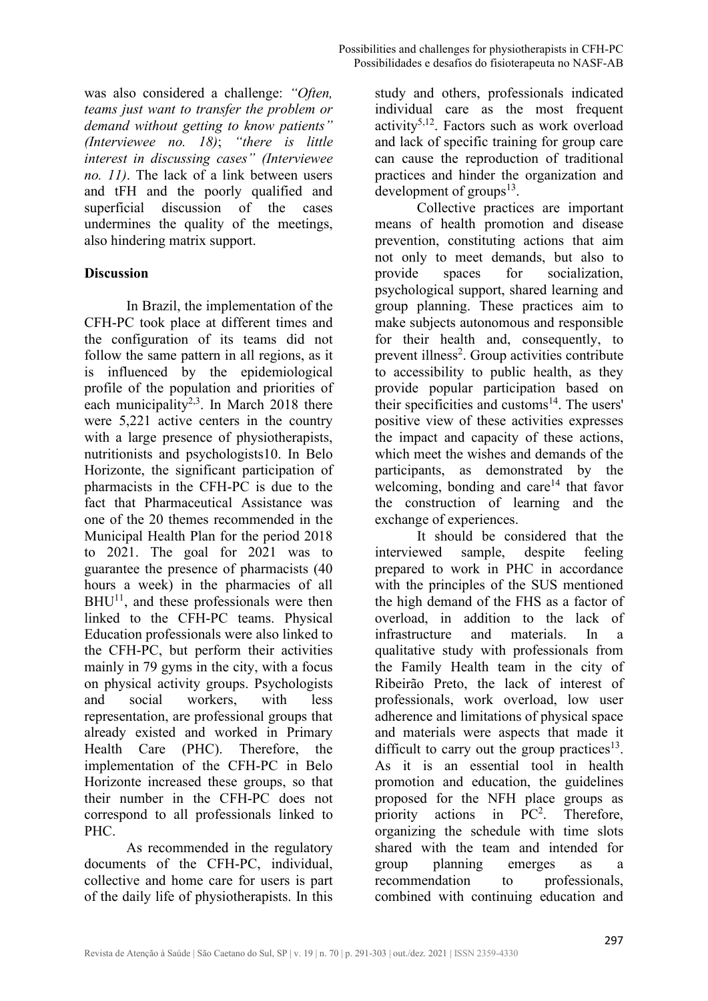was also considered a challenge: *"Often, teams just want to transfer the problem or demand without getting to know patients" (Interviewee no. 18)*; *"there is little interest in discussing cases" (Interviewee no. 11)*. The lack of a link between users and tFH and the poorly qualified and superficial discussion of the cases undermines the quality of the meetings, also hindering matrix support.

## **Discussion**

In Brazil, the implementation of the CFH-PC took place at different times and the configuration of its teams did not follow the same pattern in all regions, as it is influenced by the epidemiological profile of the population and priorities of each municipality<sup>2,3</sup>. In March 2018 there were 5,221 active centers in the country with a large presence of physiotherapists, nutritionists and psychologists10. In Belo Horizonte, the significant participation of pharmacists in the CFH-PC is due to the fact that Pharmaceutical Assistance was one of the 20 themes recommended in the Municipal Health Plan for the period 2018 to 2021. The goal for 2021 was to guarantee the presence of pharmacists (40 hours a week) in the pharmacies of all  $BHU<sup>11</sup>$ , and these professionals were then linked to the CFH-PC teams. Physical Education professionals were also linked to the CFH-PC, but perform their activities mainly in 79 gyms in the city, with a focus on physical activity groups. Psychologists and social workers, with less representation, are professional groups that already existed and worked in Primary Health Care (PHC). Therefore, the implementation of the CFH-PC in Belo Horizonte increased these groups, so that their number in the CFH-PC does not correspond to all professionals linked to PHC.

As recommended in the regulatory documents of the CFH-PC, individual, collective and home care for users is part of the daily life of physiotherapists. In this

study and others, professionals indicated individual care as the most frequent activity<sup>5,12</sup>. Factors such as work overload and lack of specific training for group care can cause the reproduction of traditional practices and hinder the organization and development of groups $^{13}$ .

Collective practices are important means of health promotion and disease prevention, constituting actions that aim not only to meet demands, but also to provide spaces for socialization, psychological support, shared learning and group planning. These practices aim to make subjects autonomous and responsible for their health and, consequently, to prevent illness<sup>2</sup>. Group activities contribute to accessibility to public health, as they provide popular participation based on their specificities and customs $^{14}$ . The users' positive view of these activities expresses the impact and capacity of these actions, which meet the wishes and demands of the participants, as demonstrated by the welcoming, bonding and care<sup>14</sup> that favor the construction of learning and the exchange of experiences.

It should be considered that the interviewed sample, despite feeling prepared to work in PHC in accordance with the principles of the SUS mentioned the high demand of the FHS as a factor of overload, in addition to the lack of infrastructure and materials. In a qualitative study with professionals from the Family Health team in the city of Ribeirão Preto, the lack of interest of professionals, work overload, low user adherence and limitations of physical space and materials were aspects that made it difficult to carry out the group practices<sup>13</sup>. As it is an essential tool in health promotion and education, the guidelines proposed for the NFH place groups as priority actions in  $PC<sup>2</sup>$ . . Therefore, organizing the schedule with time slots shared with the team and intended for group planning emerges as a recommendation to professionals, combined with continuing education and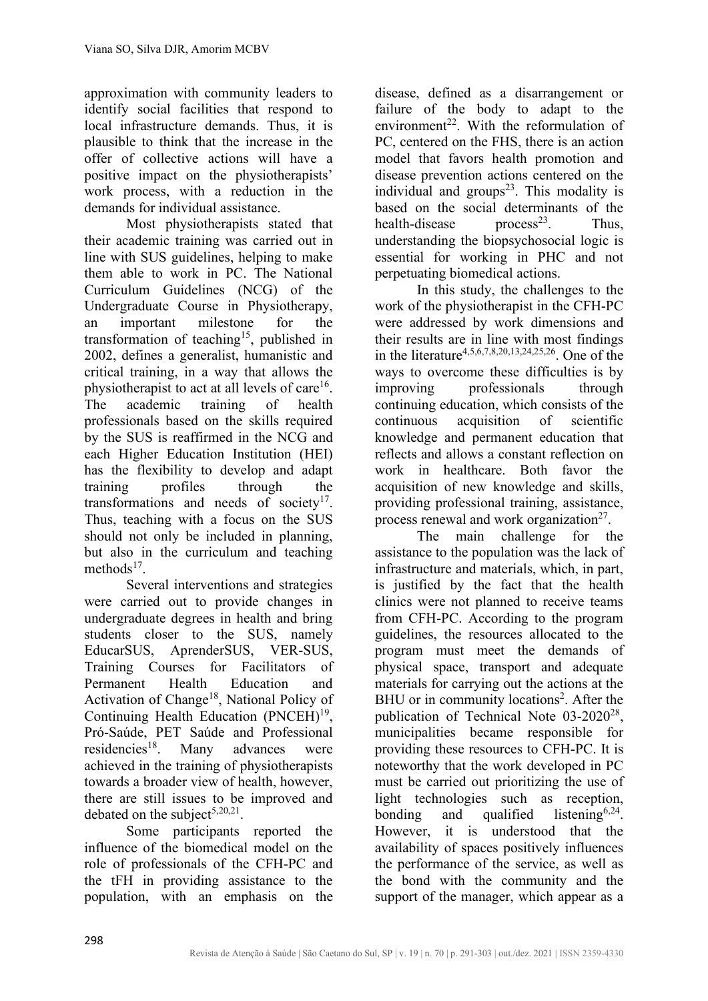approximation with community leaders to identify social facilities that respond to local infrastructure demands. Thus, it is plausible to think that the increase in the offer of collective actions will have a positive impact on the physiotherapists' work process, with a reduction in the demands for individual assistance.

Most physiotherapists stated that their academic training was carried out in line with SUS guidelines, helping to make them able to work in PC. The National Curriculum Guidelines (NCG) of the Undergraduate Course in Physiotherapy, an important milestone for the transformation of teaching<sup>15</sup>, published in 2002, defines a generalist, humanistic and critical training, in a way that allows the physiotherapist to act at all levels of care<sup>16</sup>. The academic training of health professionals based on the skills required by the SUS is reaffirmed in the NCG and each Higher Education Institution (HEI) has the flexibility to develop and adapt training profiles through the transformations and needs of society $17$ . Thus, teaching with a focus on the SUS should not only be included in planning, but also in the curriculum and teaching methods $17$ 

Several interventions and strategies were carried out to provide changes in undergraduate degrees in health and bring students closer to the SUS, namely EducarSUS, AprenderSUS, VER-SUS, Training Courses for Facilitators of Permanent Health Education and Activation of Change<sup>18</sup>, National Policy of Continuing Health Education  $(PNCEH)^{19}$ , Pró-Saúde, PET Saúde and Professional residencies<sup>18</sup>. Many advances were achieved in the training of physiotherapists towards a broader view of health, however, there are still issues to be improved and debated on the subject<sup>5,20,21</sup>.

Some participants reported the influence of the biomedical model on the role of professionals of the CFH-PC and the tFH in providing assistance to the population, with an emphasis on the

disease, defined as a disarrangement or failure of the body to adapt to the environment<sup>22</sup>. With the reformulation of PC, centered on the FHS, there is an action model that favors health promotion and disease prevention actions centered on the individual and groups $2<sup>3</sup>$ . This modality is based on the social determinants of the health-disease process<sup>23</sup>. Thus, understanding the biopsychosocial logic is essential for working in PHC and not perpetuating biomedical actions.

In this study, the challenges to the work of the physiotherapist in the CFH-PC were addressed by work dimensions and their results are in line with most findings in the literature4,5,6,7,8,20,13,24,25,26. One of the ways to overcome these difficulties is by improving professionals through continuing education, which consists of the continuous acquisition of scientific knowledge and permanent education that reflects and allows a constant reflection on work in healthcare. Both favor the acquisition of new knowledge and skills, providing professional training, assistance, process renewal and work organization<sup>27</sup>.

The main challenge for the assistance to the population was the lack of infrastructure and materials, which, in part, is justified by the fact that the health clinics were not planned to receive teams from CFH-PC. According to the program guidelines, the resources allocated to the program must meet the demands of physical space, transport and adequate materials for carrying out the actions at the BHU or in community locations<sup>2</sup>. After the publication of Technical Note  $03-2020^{28}$ , municipalities became responsible for providing these resources to CFH-PC. It is noteworthy that the work developed in PC must be carried out prioritizing the use of light technologies such as reception, bonding and qualified listening<sup>6,24</sup>. However, it is understood that the availability of spaces positively influences the performance of the service, as well as the bond with the community and the support of the manager, which appear as a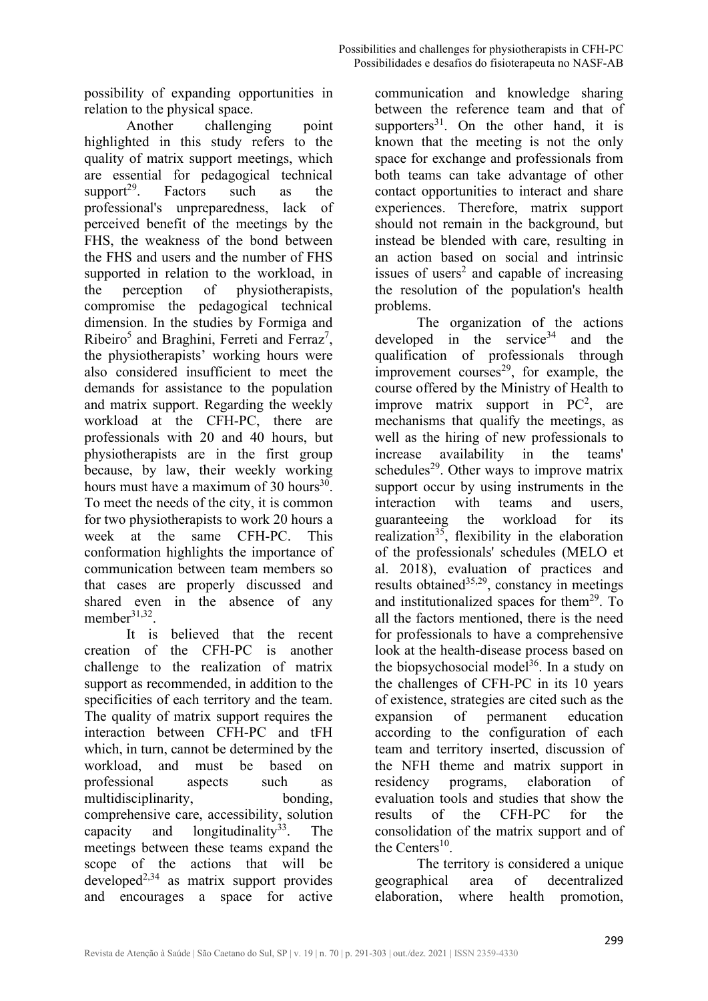possibility of expanding opportunities in relation to the physical space.

Another challenging point highlighted in this study refers to the quality of matrix support meetings, which are essential for pedagogical technical support<sup>29</sup>. Factors such as the professional's unpreparedness, lack of perceived benefit of the meetings by the FHS, the weakness of the bond between the FHS and users and the number of FHS supported in relation to the workload, in the perception of physiotherapists, compromise the pedagogical technical dimension. In the studies by Formiga and Ribeiro<sup>5</sup> and Braghini, Ferreti and Ferraz<sup>7</sup>, the physiotherapists' working hours were also considered insufficient to meet the demands for assistance to the population and matrix support. Regarding the weekly workload at the CFH-PC, there are professionals with 20 and 40 hours, but physiotherapists are in the first group because, by law, their weekly working hours must have a maximum of 30 hours<sup>30</sup>. To meet the needs of the city, it is common for two physiotherapists to work 20 hours a week at the same CFH-PC. This conformation highlights the importance of communication between team members so that cases are properly discussed and shared even in the absence of any member $31,32$ .

It is believed that the recent creation of the CFH-PC is another challenge to the realization of matrix support as recommended, in addition to the specificities of each territory and the team. The quality of matrix support requires the interaction between CFH-PC and tFH which, in turn, cannot be determined by the workload, and must be based on professional aspects such as multidisciplinarity, bonding, comprehensive care, accessibility, solution capacity and longitudinality<sup>33</sup>. The meetings between these teams expand the scope of the actions that will be  $decu$ developed<sup>2,34</sup> as matrix support provides and encourages a space for active

communication and knowledge sharing between the reference team and that of supporters<sup>31</sup>. On the other hand, it is known that the meeting is not the only space for exchange and professionals from both teams can take advantage of other contact opportunities to interact and share experiences. Therefore, matrix support should not remain in the background, but instead be blended with care, resulting in an action based on social and intrinsic issues of users<sup>2</sup> and capable of increasing the resolution of the population's health problems.

The organization of the actions developed in the service<sup>34</sup> and the qualification of professionals through improvement courses $^{29}$ , for example, the course offered by the Ministry of Health to improve matrix support in  $PC<sup>2</sup>$ , are mechanisms that qualify the meetings, as well as the hiring of new professionals to increase availability in the teams' schedules<sup>29</sup>. Other ways to improve matrix support occur by using instruments in the interaction with teams and users, guaranteeing the workload for its realization<sup>35</sup>, flexibility in the elaboration of the professionals' schedules (MELO et al. 2018), evaluation of practices and results obtained<sup>35,29</sup>, constancy in meetings and institutionalized spaces for them<sup>29</sup>. To all the factors mentioned, there is the need for professionals to have a comprehensive look at the health-disease process based on the biopsychosocial model<sup>36</sup>. In a study on the challenges of CFH-PC in its 10 years of existence, strategies are cited such as the expansion of permanent education according to the configuration of each team and territory inserted, discussion of the NFH theme and matrix support in residency programs, elaboration of evaluation tools and studies that show the results of the CFH-PC for the consolidation of the matrix support and of the Centers<sup>10</sup>.

The territory is considered a unique geographical area of decentralized elaboration, where health promotion,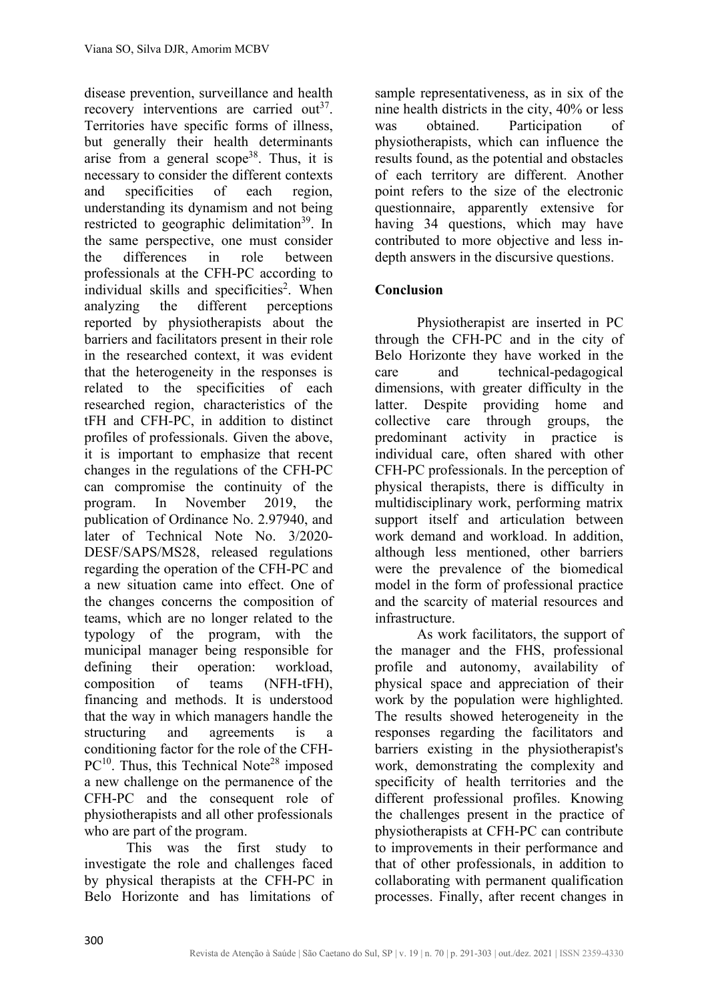disease prevention, surveillance and health recovery interventions are carried out<sup>37</sup>. Territories have specific forms of illness, but generally their health determinants arise from a general scope<sup>38</sup>. Thus, it is necessary to consider the different contexts and specificities of each region, understanding its dynamism and not being restricted to geographic delimitation<sup>39</sup>. In the same perspective, one must consider the differences in role between professionals at the CFH-PC according to individual skills and specificities<sup>2</sup>. When analyzing the different perceptions reported by physiotherapists about the barriers and facilitators present in their role in the researched context, it was evident that the heterogeneity in the responses is related to the specificities of each researched region, characteristics of the tFH and CFH-PC, in addition to distinct profiles of professionals. Given the above, it is important to emphasize that recent changes in the regulations of the CFH-PC can compromise the continuity of the program. In November 2019, the publication of Ordinance No. 2.97940, and later of Technical Note No. 3/2020- DESF/SAPS/MS28, released regulations regarding the operation of the CFH-PC and a new situation came into effect. One of the changes concerns the composition of teams, which are no longer related to the typology of the program, with the municipal manager being responsible for defining their operation: workload, composition of teams (NFH-tFH), financing and methods. It is understood that the way in which managers handle the structuring and agreements is a conditioning factor for the role of the CFH- $PC^{10}$ . Thus, this Technical Note<sup>28</sup> imposed a new challenge on the permanence of the CFH-PC and the consequent role of physiotherapists and all other professionals who are part of the program.

This was the first study to investigate the role and challenges faced by physical therapists at the CFH-PC in Belo Horizonte and has limitations of

sample representativeness, as in six of the nine health districts in the city, 40% or less was obtained. Participation of physiotherapists, which can influence the results found, as the potential and obstacles of each territory are different. Another point refers to the size of the electronic questionnaire, apparently extensive for having 34 questions, which may have contributed to more objective and less indepth answers in the discursive questions.

## **Conclusion**

Physiotherapist are inserted in PC through the CFH-PC and in the city of Belo Horizonte they have worked in the care and technical-pedagogical dimensions, with greater difficulty in the latter. Despite providing home and collective care through groups, the predominant activity in practice is individual care, often shared with other CFH-PC professionals. In the perception of physical therapists, there is difficulty in multidisciplinary work, performing matrix support itself and articulation between work demand and workload. In addition, although less mentioned, other barriers were the prevalence of the biomedical model in the form of professional practice and the scarcity of material resources and infrastructure.

As work facilitators, the support of the manager and the FHS, professional profile and autonomy, availability of physical space and appreciation of their work by the population were highlighted. The results showed heterogeneity in the responses regarding the facilitators and barriers existing in the physiotherapist's work, demonstrating the complexity and specificity of health territories and the different professional profiles. Knowing the challenges present in the practice of physiotherapists at CFH-PC can contribute to improvements in their performance and that of other professionals, in addition to collaborating with permanent qualification processes. Finally, after recent changes in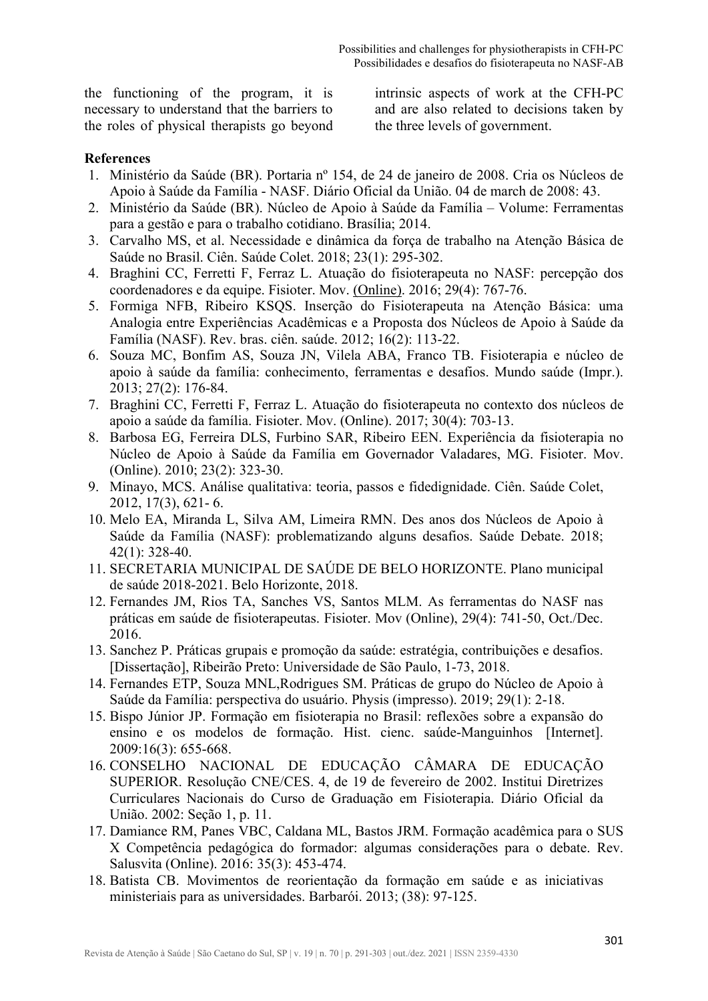the functioning of the program, it is necessary to understand that the barriers to the roles of physical therapists go beyond

intrinsic aspects of work at the CFH-PC and are also related to decisions taken by the three levels of government.

#### **References**

- 1. Ministério da Saúde (BR). Portaria nº 154, de 24 de janeiro de 2008. Cria os Núcleos de Apoio à Saúde da Família - NASF. Diário Oficial da União. 04 de march de 2008: 43.
- 2. Ministério da Saúde (BR). Núcleo de Apoio à Saúde da Família Volume: Ferramentas para a gestão e para o trabalho cotidiano. Brasília; 2014.
- 3. Carvalho MS, et al. Necessidade e dinâmica da força de trabalho na Atenção Básica de Saúde no Brasil. Ciên. Saúde Colet. 2018; 23(1): 295-302.
- 4. Braghini CC, Ferretti F, Ferraz L. Atuação do fisioterapeuta no NASF: percepção dos coordenadores e da equipe. Fisioter. Mov. [\(Online\).](http://portal.revistas.bvs.br/transf.php?xsl=xsl/titles.xsl&xml=http://catserver.bireme.br/cgi-bin/wxis1660.exe/?IsisScript=../cgi-bin/catrevistas/catrevistas.xis%7Cdatabase_name=TITLES%7Clist_type=title%7Ccat_name=ALL%7Cfrom=1%7Ccount=50&lang=pt&comefrom=home&home=false&task=show_magazines&request_made_adv_search=false&lang=pt&show_adv_search=false&help_file=/help_pt.htm&connector=ET&search_exp=Fisioter.%20Mov.%20(Online)) 2016; 29(4): 767-76.
- 5. Formiga NFB, Ribeiro KSQS. Inserção do Fisioterapeuta na Atenção Básica: uma Analogia entre Experiências Acadêmicas e a Proposta dos Núcleos de Apoio à Saúde da Família (NASF). Rev. bras. ciên. saúde. 2012; 16(2): 113-22.
- 6. Souza MC, Bonfim AS, Souza JN, Vilela ABA, Franco TB. Fisioterapia e núcleo de apoio à saúde da família: conhecimento, ferramentas e desafios. Mundo saúde (Impr.). 2013; 27(2): 176-84.
- 7. Braghini CC, Ferretti F, Ferraz L. Atuação do fisioterapeuta no contexto dos núcleos de apoio a saúde da família[. Fisioter. Mov. \(Online\).](http://portal.revistas.bvs.br/transf.php?xsl=xsl/titles.xsl&xml=http://catserver.bireme.br/cgi-bin/wxis1660.exe/?IsisScript=../cgi-bin/catrevistas/catrevistas.xis%7Cdatabase_name=TITLES%7Clist_type=title%7Ccat_name=ALL%7Cfrom=1%7Ccount=50&lang=pt&comefrom=home&home=false&task=show_magazines&request_made_adv_search=false&lang=pt&show_adv_search=false&help_file=/help_pt.htm&connector=ET&search_exp=Fisioter.%20Mov.%20(Online)) 2017; 30(4): 703-13.
- 8. Barbosa EG, Ferreira DLS, Furbino SAR, Ribeiro EEN. Experiência da fisioterapia no Núcleo de Apoio à Saúde da Família em Governador Valadares, MG. Fisioter. Mov. (Online). 2010; 23(2): 323-30.
- 9. Minayo, MCS. Análise qualitativa: teoria, passos e fidedignidade. Ciên. Saúde Colet, 2012, 17(3), 621- 6.
- 10. Melo EA, Miranda L, Silva AM, Limeira RMN. Des anos dos Núcleos de Apoio à Saúde da Família (NASF): problematizando alguns desafios. Saúde Debate. 2018; 42(1): 328-40.
- 11. SECRETARIA MUNICIPAL DE SAÚDE DE BELO HORIZONTE. Plano municipal de saúde 2018-2021. Belo Horizonte, 2018.
- 12. Fernandes JM, Rios TA, Sanches VS, Santos MLM. As ferramentas do NASF nas práticas em saúde de fisioterapeutas. Fisioter. Mov (Online), 29(4): 741-50, Oct./Dec. 2016.
- 13. Sanchez P. Práticas grupais e promoção da saúde: estratégia, contribuições e desafios. [Dissertação], Ribeirão Preto: Universidade de São Paulo, 1-73, 2018.
- 14. Fernandes ETP, Souza MNL,Rodrigues SM. Práticas de grupo do Núcleo de Apoio à Saúde da Família: perspectiva do usuário. Physis (impresso). 2019; 29(1): 2-18.
- 15. Bispo Júnior JP. Formação em fisioterapia no Brasil: reflexões sobre a expansão do ensino e os modelos de formação. Hist. cienc. saúde-Manguinhos [Internet]. 2009:16(3): 655-668.
- 16. CONSELHO NACIONAL DE EDUCAÇÃO CÂMARA DE EDUCAÇÃO SUPERIOR. Resolução CNE/CES. 4, de 19 de fevereiro de 2002. Institui Diretrizes Curriculares Nacionais do Curso de Graduação em Fisioterapia. Diário Oficial da União. 2002: Seção 1, p. 11.
- 17. Damiance RM, Panes VBC, Caldana ML, Bastos JRM. Formação acadêmica para o SUS X Competência pedagógica do formador: algumas considerações para o debate. Rev. Salusvita (Online). 2016: 35(3): 453-474.
- 18. Batista CB. Movimentos de reorientação da formação em saúde e as iniciativas ministeriais para as universidades. Barbarói. 2013; (38): 97-125.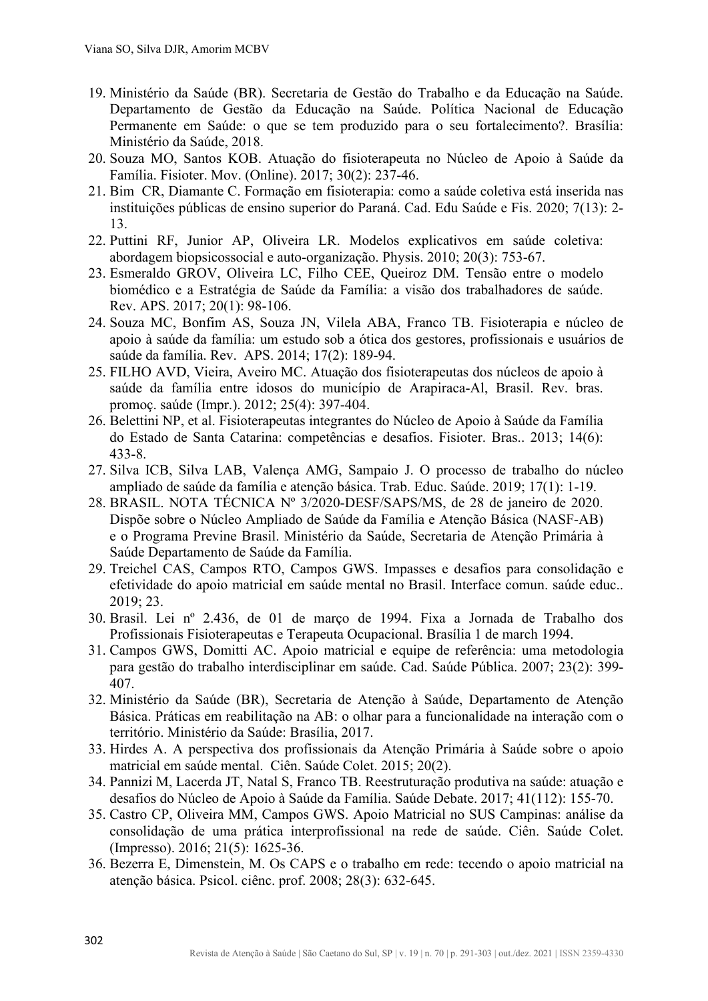- 19. Ministério da Saúde (BR). Secretaria de Gestão do Trabalho e da Educação na Saúde. Departamento de Gestão da Educação na Saúde. Política Nacional de Educação Permanente em Saúde: o que se tem produzido para o seu fortalecimento?. Brasília: Ministério da Saúde, 2018.
- 20. Souza MO, Santos KOB. Atuação do fisioterapeuta no Núcleo de Apoio à Saúde da Família. Fisioter. Mov. (Online). 2017; 30(2): 237-46.
- 21. Bim CR, Diamante C. Formação em fisioterapia: como a saúde coletiva está inserida nas instituições públicas de ensino superior do Paraná. Cad. Edu Saúde e Fis. 2020; 7(13): 2- 13.
- 22. Puttini RF, Junior AP, Oliveira LR. Modelos explicativos em saúde coletiva: abordagem biopsicossocial e auto-organização. Physis. 2010; 20(3): 753-67.
- 23. Esmeraldo GROV, Oliveira LC, Filho CEE, Queiroz DM. Tensão entre o modelo biomédico e a Estratégia de Saúde da Família: a visão dos trabalhadores de saúde. Rev. APS. 2017; 20(1): 98-106.
- 24. Souza MC, Bonfim AS, Souza JN, Vilela ABA, Franco TB. Fisioterapia e núcleo de apoio à saúde da família: um estudo sob a ótica dos gestores, profissionais e usuários de saúde da família. Rev. APS. 2014; 17(2): 189-94.
- 25. FILHO AVD, Vieira[, Av](https://pesquisa.bvsalud.org/portal/?lang=pt&q=au:%22Aveiro,%20Mariana%20Chaves%22)eiro MC. Atuação dos fisioterapeutas dos núcleos de apoio à saúde da família entre idosos do município de Arapiraca-Al, Brasil. [Rev. bras.](http://portal.revistas.bvs.br/transf.php?xsl=xsl/titles.xsl&xml=http://catserver.bireme.br/cgi-bin/wxis1660.exe/?IsisScript=../cgi-bin/catrevistas/catrevistas.xis%7Cdatabase_name=TITLES%7Clist_type=title%7Ccat_name=ALL%7Cfrom=1%7Ccount=50&lang=pt&comefrom=home&home=false&task=show_magazines&request_made_adv_search=false&lang=pt&show_adv_search=false&help_file=/help_pt.htm&connector=ET&search_exp=Rev.%20bras.%20promo%C3%A7.%20sa%C3%BAde%20(Impr.))  [promoç. saúde \(Impr.\).](http://portal.revistas.bvs.br/transf.php?xsl=xsl/titles.xsl&xml=http://catserver.bireme.br/cgi-bin/wxis1660.exe/?IsisScript=../cgi-bin/catrevistas/catrevistas.xis%7Cdatabase_name=TITLES%7Clist_type=title%7Ccat_name=ALL%7Cfrom=1%7Ccount=50&lang=pt&comefrom=home&home=false&task=show_magazines&request_made_adv_search=false&lang=pt&show_adv_search=false&help_file=/help_pt.htm&connector=ET&search_exp=Rev.%20bras.%20promo%C3%A7.%20sa%C3%BAde%20(Impr.)) 2012; 25(4): 397-404.
- 26. Belettini NP, et al. Fisioterapeutas integrantes do Núcleo de Apoio à Saúde da Família do Estado de Santa Catarina: competências e desafios. Fisioter. Bras.. 2013; 14(6): 433-8.
- 27. Silva ICB, Silva LAB, Valença AMG, Sampaio J. O processo de trabalho do núcleo ampliado de saúde da família e atenção básica. Trab. Educ. Saúde. 2019; 17(1): 1-19.
- 28. BRASIL. NOTA TÉCNICA Nº 3/2020-DESF/SAPS/MS, de 28 de janeiro de 2020. Dispõe sobre o Núcleo Ampliado de Saúde da Família e Atenção Básica (NASF-AB) e o Programa Previne Brasil. Ministério da Saúde, Secretaria de Atenção Primária à Saúde Departamento de Saúde da Família.
- 29. Treichel CAS, Campos RTO, Campos GWS. Impasses e desafios para consolidação e efetividade do apoio matricial em saúde mental no Brasil. Interface comun. saúde educ.. 2019; 23.
- 30. Brasil. Lei nº 2.436, de 01 de março de 1994. Fixa a Jornada de Trabalho dos Profissionais Fisioterapeutas e Terapeuta Ocupacional. Brasília 1 de march 1994.
- 31. Campos GWS, Domitti AC. Apoio matricial e equipe de referência: uma metodologia para gestão do trabalho interdisciplinar em saúde. Cad. Saúde Pública. 2007; 23(2): 399- 407.
- 32. Ministério da Saúde (BR), Secretaria de Atenção à Saúde, Departamento de Atenção Básica. Práticas em reabilitação na AB: o olhar para a funcionalidade na interação com o território. Ministério da Saúde: Brasília, 2017.
- 33. Hirdes A. A perspectiva dos profissionais da Atenção Primária à Saúde sobre o apoio matricial em saúde mental. Ciên. Saúde Colet. 2015; 20(2).
- 34. Pannizi M, Lacerda JT, Natal S, Franco TB. Reestruturação produtiva na saúde: atuação e desafios do Núcleo de Apoio à Saúde da Família. Saúde Debate. 2017; 41(112): 155-70.
- 35. Castro CP, Oliveira MM, Campos GWS. Apoio Matricial no SUS Campinas: análise da consolidação de uma prática interprofissional na rede de saúde. Ciên. Saúde Colet. (Impresso). 2016; 21(5): 1625-36.
- 36. Bezerra E, Dimenstein, M. Os CAPS e o trabalho em rede: tecendo o apoio matricial na atenção básica. Psicol. ciênc. prof. 2008; 28(3): 632-645.